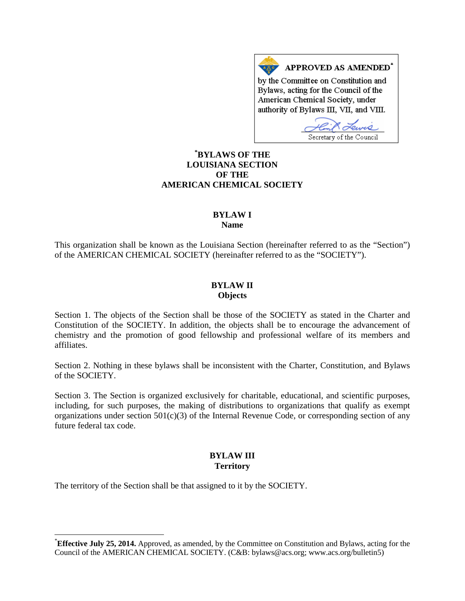APPROVED AS AMENDED<sup>\*</sup> by the Committee on Constitution and Bylaws, acting for the Council of the American Chemical Society, under authority of Bylaws III, VII, and VIII.

Secretary of the Council

# **[\\*](#page-0-0) BYLAWS OF THE LOUISIANA SECTION OF THE AMERICAN CHEMICAL SOCIETY**

#### **BYLAW I Name**

This organization shall be known as the Louisiana Section (hereinafter referred to as the "Section") of the AMERICAN CHEMICAL SOCIETY (hereinafter referred to as the "SOCIETY").

#### **BYLAW II Objects**

Section 1. The objects of the Section shall be those of the SOCIETY as stated in the Charter and Constitution of the SOCIETY. In addition, the objects shall be to encourage the advancement of chemistry and the promotion of good fellowship and professional welfare of its members and affiliates.

Section 2. Nothing in these bylaws shall be inconsistent with the Charter, Constitution, and Bylaws of the SOCIETY.

Section 3. The Section is organized exclusively for charitable, educational, and scientific purposes, including, for such purposes, the making of distributions to organizations that qualify as exempt organizations under section  $501(c)(3)$  of the Internal Revenue Code, or corresponding section of any future federal tax code.

# **BYLAW III Territory**

The territory of the Section shall be that assigned to it by the SOCIETY.

<span id="page-0-0"></span> <sup>\*</sup> **Effective July 25, 2014.** Approved, as amended, by the Committee on Constitution and Bylaws, acting for the Council of the AMERICAN CHEMICAL SOCIETY. (C&B: bylaws@acs.org; www.acs.org/bulletin5)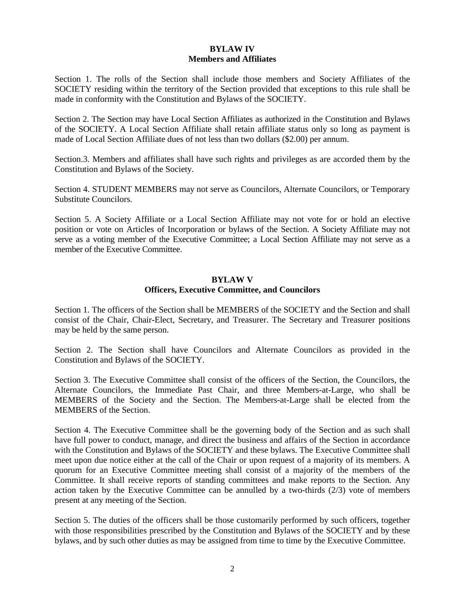## **BYLAW IV Members and Affiliates**

Section 1. The rolls of the Section shall include those members and Society Affiliates of the SOCIETY residing within the territory of the Section provided that exceptions to this rule shall be made in conformity with the Constitution and Bylaws of the SOCIETY.

Section 2. The Section may have Local Section Affiliates as authorized in the Constitution and Bylaws of the SOCIETY. A Local Section Affiliate shall retain affiliate status only so long as payment is made of Local Section Affiliate dues of not less than two dollars (\$2.00) per annum.

Section.3. Members and affiliates shall have such rights and privileges as are accorded them by the Constitution and Bylaws of the Society.

Section 4. STUDENT MEMBERS may not serve as Councilors, Alternate Councilors, or Temporary Substitute Councilors.

Section 5. A Society Affiliate or a Local Section Affiliate may not vote for or hold an elective position or vote on Articles of Incorporation or bylaws of the Section. A Society Affiliate may not serve as a voting member of the Executive Committee; a Local Section Affiliate may not serve as a member of the Executive Committee.

#### **BYLAW V Officers, Executive Committee, and Councilors**

Section 1. The officers of the Section shall be MEMBERS of the SOCIETY and the Section and shall consist of the Chair, Chair-Elect, Secretary, and Treasurer. The Secretary and Treasurer positions may be held by the same person.

Section 2. The Section shall have Councilors and Alternate Councilors as provided in the Constitution and Bylaws of the SOCIETY.

Section 3. The Executive Committee shall consist of the officers of the Section, the Councilors, the Alternate Councilors, the Immediate Past Chair, and three Members-at-Large, who shall be MEMBERS of the Society and the Section. The Members-at-Large shall be elected from the MEMBERS of the Section.

Section 4. The Executive Committee shall be the governing body of the Section and as such shall have full power to conduct, manage, and direct the business and affairs of the Section in accordance with the Constitution and Bylaws of the SOCIETY and these bylaws. The Executive Committee shall meet upon due notice either at the call of the Chair or upon request of a majority of its members. A quorum for an Executive Committee meeting shall consist of a majority of the members of the Committee. It shall receive reports of standing committees and make reports to the Section. Any action taken by the Executive Committee can be annulled by a two-thirds (2/3) vote of members present at any meeting of the Section.

Section 5. The duties of the officers shall be those customarily performed by such officers, together with those responsibilities prescribed by the Constitution and Bylaws of the SOCIETY and by these bylaws, and by such other duties as may be assigned from time to time by the Executive Committee.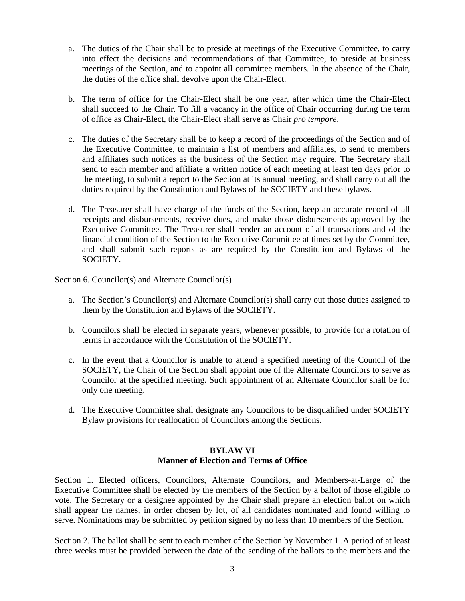- a. The duties of the Chair shall be to preside at meetings of the Executive Committee, to carry into effect the decisions and recommendations of that Committee, to preside at business meetings of the Section, and to appoint all committee members. In the absence of the Chair, the duties of the office shall devolve upon the Chair-Elect.
- b. The term of office for the Chair-Elect shall be one year, after which time the Chair-Elect shall succeed to the Chair. To fill a vacancy in the office of Chair occurring during the term of office as Chair-Elect, the Chair-Elect shall serve as Chair *pro tempore*.
- c. The duties of the Secretary shall be to keep a record of the proceedings of the Section and of the Executive Committee, to maintain a list of members and affiliates, to send to members and affiliates such notices as the business of the Section may require. The Secretary shall send to each member and affiliate a written notice of each meeting at least ten days prior to the meeting, to submit a report to the Section at its annual meeting, and shall carry out all the duties required by the Constitution and Bylaws of the SOCIETY and these bylaws.
- d. The Treasurer shall have charge of the funds of the Section, keep an accurate record of all receipts and disbursements, receive dues, and make those disbursements approved by the Executive Committee. The Treasurer shall render an account of all transactions and of the financial condition of the Section to the Executive Committee at times set by the Committee, and shall submit such reports as are required by the Constitution and Bylaws of the SOCIETY.

Section 6. Councilor(s) and Alternate Councilor(s)

- a. The Section's Councilor(s) and Alternate Councilor(s) shall carry out those duties assigned to them by the Constitution and Bylaws of the SOCIETY.
- b. Councilors shall be elected in separate years, whenever possible, to provide for a rotation of terms in accordance with the Constitution of the SOCIETY.
- c. In the event that a Councilor is unable to attend a specified meeting of the Council of the SOCIETY, the Chair of the Section shall appoint one of the Alternate Councilors to serve as Councilor at the specified meeting. Such appointment of an Alternate Councilor shall be for only one meeting.
- d. The Executive Committee shall designate any Councilors to be disqualified under SOCIETY Bylaw provisions for reallocation of Councilors among the Sections.

## **BYLAW VI Manner of Election and Terms of Office**

Section 1. Elected officers, Councilors, Alternate Councilors, and Members-at-Large of the Executive Committee shall be elected by the members of the Section by a ballot of those eligible to vote. The Secretary or a designee appointed by the Chair shall prepare an election ballot on which shall appear the names, in order chosen by lot, of all candidates nominated and found willing to serve. Nominations may be submitted by petition signed by no less than 10 members of the Section.

Section 2. The ballot shall be sent to each member of the Section by November 1 .A period of at least three weeks must be provided between the date of the sending of the ballots to the members and the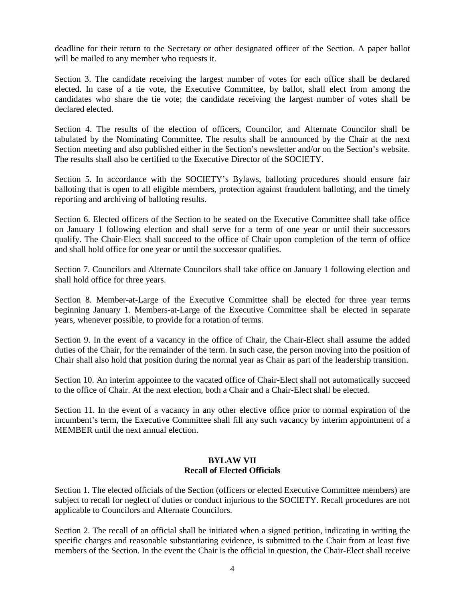deadline for their return to the Secretary or other designated officer of the Section. A paper ballot will be mailed to any member who requests it.

Section 3. The candidate receiving the largest number of votes for each office shall be declared elected. In case of a tie vote, the Executive Committee, by ballot, shall elect from among the candidates who share the tie vote; the candidate receiving the largest number of votes shall be declared elected.

Section 4. The results of the election of officers, Councilor, and Alternate Councilor shall be tabulated by the Nominating Committee. The results shall be announced by the Chair at the next Section meeting and also published either in the Section's newsletter and/or on the Section's website. The results shall also be certified to the Executive Director of the SOCIETY.

Section 5. In accordance with the SOCIETY's Bylaws, balloting procedures should ensure fair balloting that is open to all eligible members, protection against fraudulent balloting, and the timely reporting and archiving of balloting results.

Section 6. Elected officers of the Section to be seated on the Executive Committee shall take office on January 1 following election and shall serve for a term of one year or until their successors qualify. The Chair-Elect shall succeed to the office of Chair upon completion of the term of office and shall hold office for one year or until the successor qualifies.

Section 7. Councilors and Alternate Councilors shall take office on January 1 following election and shall hold office for three years.

Section 8. Member-at-Large of the Executive Committee shall be elected for three year terms beginning January 1. Members-at-Large of the Executive Committee shall be elected in separate years, whenever possible, to provide for a rotation of terms.

Section 9. In the event of a vacancy in the office of Chair, the Chair-Elect shall assume the added duties of the Chair, for the remainder of the term. In such case, the person moving into the position of Chair shall also hold that position during the normal year as Chair as part of the leadership transition.

Section 10. An interim appointee to the vacated office of Chair-Elect shall not automatically succeed to the office of Chair. At the next election, both a Chair and a Chair-Elect shall be elected.

Section 11. In the event of a vacancy in any other elective office prior to normal expiration of the incumbent's term, the Executive Committee shall fill any such vacancy by interim appointment of a MEMBER until the next annual election.

## **BYLAW VII Recall of Elected Officials**

Section 1. The elected officials of the Section (officers or elected Executive Committee members) are subject to recall for neglect of duties or conduct injurious to the SOCIETY. Recall procedures are not applicable to Councilors and Alternate Councilors.

Section 2. The recall of an official shall be initiated when a signed petition, indicating in writing the specific charges and reasonable substantiating evidence, is submitted to the Chair from at least five members of the Section. In the event the Chair is the official in question, the Chair-Elect shall receive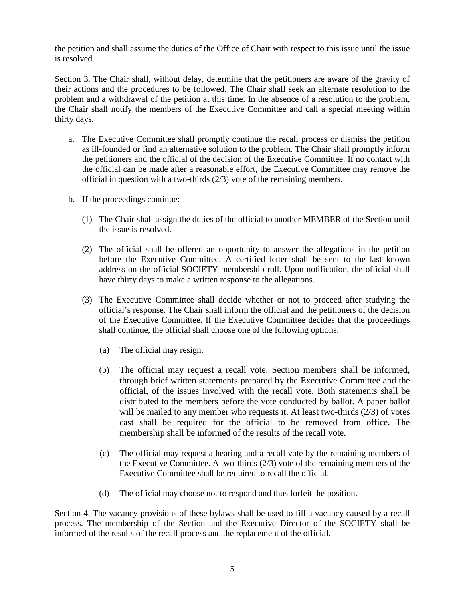the petition and shall assume the duties of the Office of Chair with respect to this issue until the issue is resolved.

Section 3. The Chair shall, without delay, determine that the petitioners are aware of the gravity of their actions and the procedures to be followed. The Chair shall seek an alternate resolution to the problem and a withdrawal of the petition at this time. In the absence of a resolution to the problem, the Chair shall notify the members of the Executive Committee and call a special meeting within thirty days.

- a. The Executive Committee shall promptly continue the recall process or dismiss the petition as ill-founded or find an alternative solution to the problem. The Chair shall promptly inform the petitioners and the official of the decision of the Executive Committee. If no contact with the official can be made after a reasonable effort, the Executive Committee may remove the official in question with a two-thirds (2/3) vote of the remaining members.
- b. If the proceedings continue:
	- (1) The Chair shall assign the duties of the official to another MEMBER of the Section until the issue is resolved.
	- (2) The official shall be offered an opportunity to answer the allegations in the petition before the Executive Committee. A certified letter shall be sent to the last known address on the official SOCIETY membership roll. Upon notification, the official shall have thirty days to make a written response to the allegations.
	- (3) The Executive Committee shall decide whether or not to proceed after studying the official's response. The Chair shall inform the official and the petitioners of the decision of the Executive Committee. If the Executive Committee decides that the proceedings shall continue, the official shall choose one of the following options:
		- (a) The official may resign.
		- (b) The official may request a recall vote. Section members shall be informed, through brief written statements prepared by the Executive Committee and the official, of the issues involved with the recall vote. Both statements shall be distributed to the members before the vote conducted by ballot. A paper ballot will be mailed to any member who requests it. At least two-thirds (2/3) of votes cast shall be required for the official to be removed from office. The membership shall be informed of the results of the recall vote.
		- (c) The official may request a hearing and a recall vote by the remaining members of the Executive Committee. A two-thirds (2/3) vote of the remaining members of the Executive Committee shall be required to recall the official.
		- (d) The official may choose not to respond and thus forfeit the position.

Section 4. The vacancy provisions of these bylaws shall be used to fill a vacancy caused by a recall process. The membership of the Section and the Executive Director of the SOCIETY shall be informed of the results of the recall process and the replacement of the official.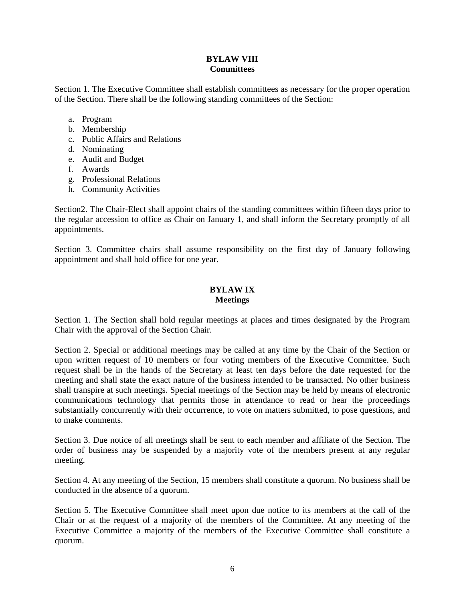## **BYLAW VIII Committees**

Section 1. The Executive Committee shall establish committees as necessary for the proper operation of the Section. There shall be the following standing committees of the Section:

- a. Program
- b. Membership
- c. Public Affairs and Relations
- d. Nominating
- e. Audit and Budget
- f. Awards
- g. Professional Relations
- h. Community Activities

Section2. The Chair-Elect shall appoint chairs of the standing committees within fifteen days prior to the regular accession to office as Chair on January 1, and shall inform the Secretary promptly of all appointments.

Section 3. Committee chairs shall assume responsibility on the first day of January following appointment and shall hold office for one year.

#### **BYLAW IX Meetings**

Section 1. The Section shall hold regular meetings at places and times designated by the Program Chair with the approval of the Section Chair.

Section 2. Special or additional meetings may be called at any time by the Chair of the Section or upon written request of 10 members or four voting members of the Executive Committee. Such request shall be in the hands of the Secretary at least ten days before the date requested for the meeting and shall state the exact nature of the business intended to be transacted. No other business shall transpire at such meetings. Special meetings of the Section may be held by means of electronic communications technology that permits those in attendance to read or hear the proceedings substantially concurrently with their occurrence, to vote on matters submitted, to pose questions, and to make comments.

Section 3. Due notice of all meetings shall be sent to each member and affiliate of the Section. The order of business may be suspended by a majority vote of the members present at any regular meeting.

Section 4. At any meeting of the Section, 15 members shall constitute a quorum. No business shall be conducted in the absence of a quorum.

Section 5. The Executive Committee shall meet upon due notice to its members at the call of the Chair or at the request of a majority of the members of the Committee. At any meeting of the Executive Committee a majority of the members of the Executive Committee shall constitute a quorum.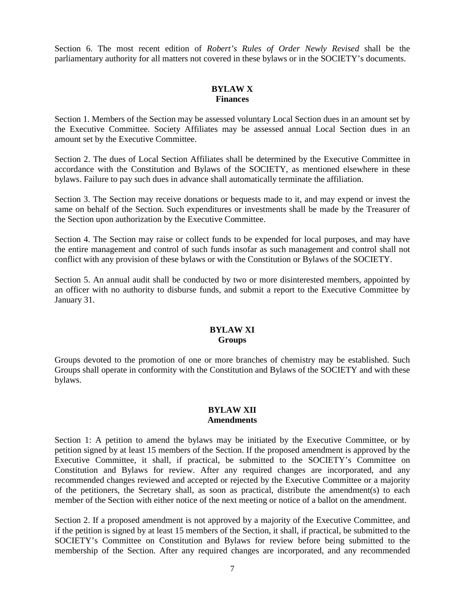Section 6. The most recent edition of *Robert's Rules of Order Newly Revised* shall be the parliamentary authority for all matters not covered in these bylaws or in the SOCIETY's documents.

# **BYLAW X Finances**

Section 1. Members of the Section may be assessed voluntary Local Section dues in an amount set by the Executive Committee. Society Affiliates may be assessed annual Local Section dues in an amount set by the Executive Committee.

Section 2. The dues of Local Section Affiliates shall be determined by the Executive Committee in accordance with the Constitution and Bylaws of the SOCIETY, as mentioned elsewhere in these bylaws. Failure to pay such dues in advance shall automatically terminate the affiliation.

Section 3. The Section may receive donations or bequests made to it, and may expend or invest the same on behalf of the Section. Such expenditures or investments shall be made by the Treasurer of the Section upon authorization by the Executive Committee.

Section 4. The Section may raise or collect funds to be expended for local purposes, and may have the entire management and control of such funds insofar as such management and control shall not conflict with any provision of these bylaws or with the Constitution or Bylaws of the SOCIETY.

Section 5. An annual audit shall be conducted by two or more disinterested members, appointed by an officer with no authority to disburse funds, and submit a report to the Executive Committee by January 31.

## **BYLAW XI Groups**

Groups devoted to the promotion of one or more branches of chemistry may be established. Such Groups shall operate in conformity with the Constitution and Bylaws of the SOCIETY and with these bylaws.

#### **BYLAW XII Amendments**

Section 1: A petition to amend the bylaws may be initiated by the Executive Committee, or by petition signed by at least 15 members of the Section. If the proposed amendment is approved by the Executive Committee, it shall, if practical, be submitted to the SOCIETY's Committee on Constitution and Bylaws for review. After any required changes are incorporated, and any recommended changes reviewed and accepted or rejected by the Executive Committee or a majority of the petitioners, the Secretary shall, as soon as practical, distribute the amendment(s) to each member of the Section with either notice of the next meeting or notice of a ballot on the amendment.

Section 2. If a proposed amendment is not approved by a majority of the Executive Committee, and if the petition is signed by at least 15 members of the Section, it shall, if practical, be submitted to the SOCIETY's Committee on Constitution and Bylaws for review before being submitted to the membership of the Section. After any required changes are incorporated, and any recommended